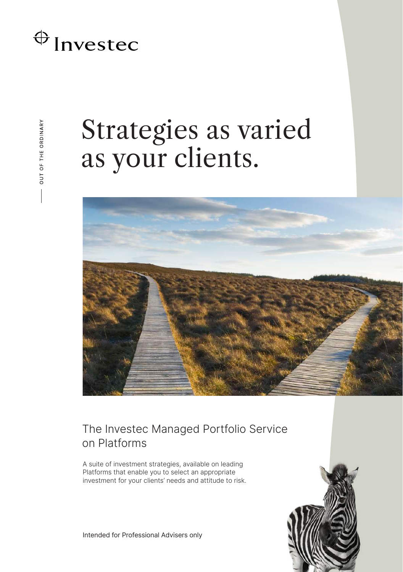## $\bigoplus$  Invested

# Strategies as varied as your clients.



### The Investec Managed Portfolio Service on Platforms

A suite of investment strategies, available on leading Platforms that enable you to select an appropriate investment for your clients' needs and attitude to risk.



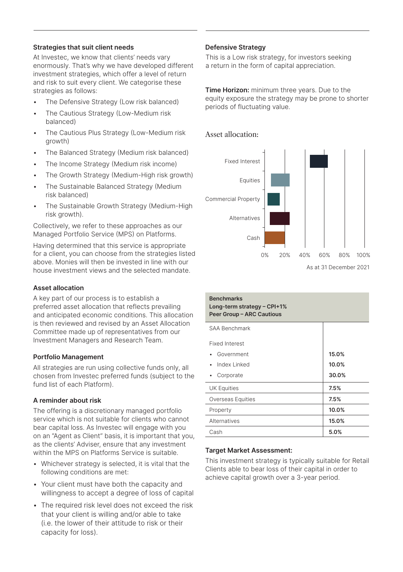#### **Strategies that suit client needs**

At Investec, we know that clients' needs vary enormously. That's why we have developed different investment strategies, which offer a level of return and risk to suit every client. We categorise these strategies as follows:

- The Defensive Strategy (Low risk balanced)
- The Cautious Strategy (Low-Medium risk balanced)
- The Cautious Plus Strategy (Low-Medium risk growth)
- The Balanced Strategy (Medium risk balanced)
- The Income Strategy (Medium risk income)
- The Growth Strategy (Medium-High risk growth)
- The Sustainable Balanced Strategy (Medium risk balanced)
- The Sustainable Growth Strategy (Medium-High risk growth).

Collectively, we refer to these approaches as our Managed Portfolio Service (MPS) on Platforms.

Having determined that this service is appropriate for a client, you can choose from the strategies listed above. Monies will then be invested in line with our house investment views and the selected mandate.

#### **Asset allocation**

A key part of our process is to establish a preferred asset allocation that reflects prevailing and anticipated economic conditions. This allocation is then reviewed and revised by an Asset Allocation Committee made up of representatives from our Investment Managers and Research Team.

#### **Portfolio Management**

All strategies are run using collective funds only, all chosen from Investec preferred funds (subject to the fund list of each Platform).

#### **A reminder about risk**

The offering is a discretionary managed portfolio service which is not suitable for clients who cannot bear capital loss. As Investec will engage with you on an "Agent as Client" basis, it is important that you, as the clients' Adviser, ensure that any investment within the MPS on Platforms Service is suitable.

- Whichever strategy is selected, it is vital that the following conditions are met:
- Your client must have both the capacity and willingness to accept a degree of loss of capital
- The required risk level does not exceed the risk that your client is willing and/or able to take (i.e. the lower of their attitude to risk or their capacity for loss).

#### **Defensive Strategy**

This is a Low risk strategy, for investors seeking a return in the form of capital appreciation.

**Time Horizon:** minimum three years. Due to the equity exposure the strategy may be prone to shorter periods of fluctuating value.

#### Asset allocation:



| <b>Benchmarks</b><br>Long-term strategy - CPI+1%<br>Peer Group - ARC Cautious |       |
|-------------------------------------------------------------------------------|-------|
| <b>SAA Benchmark</b>                                                          |       |
| <b>Fixed Interest</b>                                                         |       |
| Government                                                                    | 15.0% |
| Index Linked                                                                  | 10.0% |
| Corporate                                                                     | 30.0% |
| UK Equities                                                                   | 7.5%  |
| Overseas Equities                                                             | 7.5%  |
| Property                                                                      | 10.0% |
| Alternatives                                                                  | 15.0% |
| Cash                                                                          | 5.0%  |

#### **Target Market Assessment:**

This investment strategy is typically suitable for Retail Clients able to bear loss of their capital in order to achieve capital growth over a 3-year period.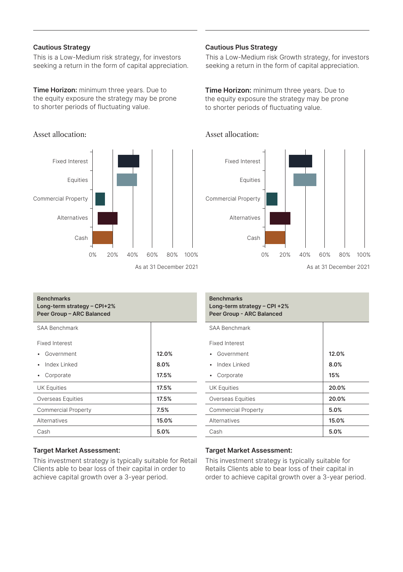#### **Cautious Strategy**

This is a Low-Medium risk strategy, for investors seeking a return in the form of capital appreciation.

**Time Horizon:** minimum three years. Due to the equity exposure the strategy may be prone to shorter periods of fluctuating value.

#### Asset allocation:



#### **Benchmarks Long-term strategy – CPI+2% Peer Group – ARC Balanced** SAA Benchmark Fixed Interest • Government Index Linked • Corporate **12.0% 8.0% 17.5%** UK Equities **17.5%** Overseas Equities **17.5%** Commercial Property **7.5%**

#### **Target Market Assessment:**

This investment strategy is typically suitable for Retail Clients able to bear loss of their capital in order to achieve capital growth over a 3-year period.

Alternatives **15.0%** Cash **5.0%**

#### **Cautious Plus Strategy**

Asset allocation:

This a Low-Medium risk Growth strategy, for investors seeking a return in the form of capital appreciation.

**Time Horizon:** minimum three years. Due to the equity exposure the strategy may be prone to shorter periods of fluctuating value.



#### **Benchmarks Long-term strategy – CPI +2% Peer Group - ARC Balanced** SAA Benchmark Fixed Interest • Government • Index Linked • Corporate **12.0% 8.0% 15%** UK Equities **20.0%** Overseas Equities **20.0%** Commercial Property **5.0%** Alternatives **15.0%** Cash **5.0%**

#### **Target Market Assessment:**

This investment strategy is typically suitable for Retails Clients able to bear loss of their capital in order to achieve capital growth over a 3-year period.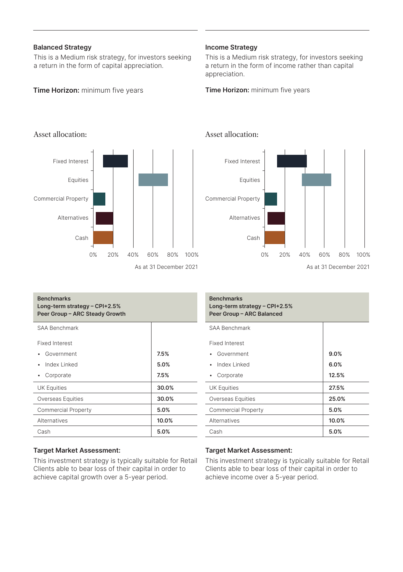#### **Balanced Strategy**

This is a Medium risk strategy, for investors seeking a return in the form of capital appreciation.

#### **Time Horizon:** minimum five years

#### **Income Strategy**

Asset allocation:

This is a Medium risk strategy, for investors seeking a return in the form of income rather than capital appreciation.

**Time Horizon:** minimum five years



## As at 31 December 2021 20% 40% 60% 80% 100% Fixed Interest Equities Commercial Property Alternatives Cash 0%

| <b>Benchmarks</b><br>Long-term strategy $-$ CPI+2.5%<br>Peer Group - ARC Steady Growth |       |
|----------------------------------------------------------------------------------------|-------|
| <b>SAA Benchmark</b>                                                                   |       |
| <b>Fixed Interest</b>                                                                  |       |
| Government                                                                             | 7.5%  |
| Index Linked                                                                           | 5.0%  |
| Corporate                                                                              | 7.5%  |
| <b>UK Equities</b>                                                                     | 30.0% |
| Overseas Equities                                                                      | 30.0% |
| <b>Commercial Property</b>                                                             | 5.0%  |
| Alternatives                                                                           | 10.0% |
| Cash                                                                                   | 5.0%  |

## **Target Market Assessment:**

This investment strategy is typically suitable for Retail Clients able to bear loss of their capital in order to achieve capital growth over a 5-year period.

#### **Benchmarks Long-term strategy – CPI+2.5% Peer Group – ARC Balanced** SAA Benchmark Fixed Interest • Government • Index Linked • Corporate **9.0% 6.0% 12.5%** UK Equities **27.5%** Overseas Equities **25.0%** Commercial Property **5.0%** Alternatives **10.0%** Cash **5.0%**

#### **Target Market Assessment:**

This investment strategy is typically suitable for Retail Clients able to bear loss of their capital in order to achieve income over a 5-year period.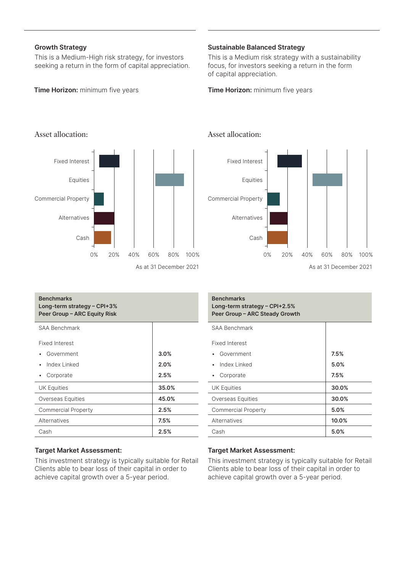#### **Growth Strategy**

This is a Medium-High risk strategy, for investors seeking a return in the form of capital appreciation.

#### **Time Horizon:** minimum five years

#### **Sustainable Balanced Strategy**

This is a Medium risk strategy with a sustainability focus, for investors seeking a return in the form of capital appreciation.

**Time Horizon:** minimum five years

Cash

0%



| <b>Benchmarks</b><br>Long-term strategy $-$ CPI+3%<br>Peer Group - ARC Equity Risk |       |
|------------------------------------------------------------------------------------|-------|
| SAA Benchmark                                                                      |       |
| <b>Fixed Interest</b>                                                              |       |
| Government                                                                         | 3.0%  |
| Index Linked                                                                       | 2.0%  |
| Corporate                                                                          | 2.5%  |
| <b>UK Equities</b>                                                                 | 35.0% |
| Overseas Equities                                                                  | 45.0% |
| <b>Commercial Property</b>                                                         | 2.5%  |
| Alternatives                                                                       | 7.5%  |
| Cash                                                                               | 2.5%  |

#### **Target Market Assessment:**

This investment strategy is typically suitable for Retail Clients able to bear loss of their capital in order to achieve capital growth over a 5-year period.

## Fixed Interest Equities Commercial Property Alternatives

20% 40% 60% 80% 100%

As at 31 December 2021

| <b>Benchmarks</b><br>Long-term strategy – CPI+2.5%<br>Peer Group - ARC Steady Growth |       |
|--------------------------------------------------------------------------------------|-------|
| SAA Benchmark                                                                        |       |
| <b>Fixed Interest</b>                                                                |       |
| Government                                                                           | 7.5%  |
| Index Linked                                                                         | 5.0%  |
| Corporate                                                                            | 7.5%  |
| <b>UK Equities</b>                                                                   | 30.0% |
| Overseas Equities                                                                    | 30.0% |
| <b>Commercial Property</b>                                                           | 5.0%  |
| Alternatives                                                                         | 10.0% |
| Cash                                                                                 | 5.0%  |

#### **Target Market Assessment:**

This investment strategy is typically suitable for Retail Clients able to bear loss of their capital in order to achieve capital growth over a 5-year period.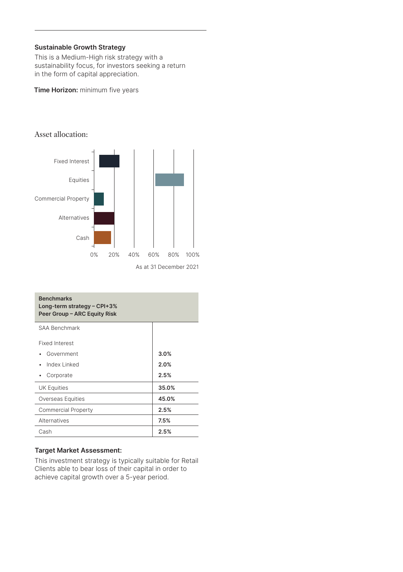#### **Sustainable Growth Strategy**

This is a Medium-High risk strategy with a sustainability focus, for investors seeking a return in the form of capital appreciation.

#### **Time Horizon:** minimum five years



| <b>Benchmarks</b><br>Long-term strategy $-$ CPI+3%<br>Peer Group - ARC Equity Risk |       |
|------------------------------------------------------------------------------------|-------|
| SAA Benchmark                                                                      |       |
| <b>Fixed Interest</b>                                                              |       |
| Government                                                                         | 3.0%  |
| Index Linked                                                                       | 2.0%  |
| Corporate                                                                          | 2.5%  |
| <b>UK Equities</b>                                                                 | 35.0% |
| Overseas Equities                                                                  | 45.0% |
| <b>Commercial Property</b>                                                         | 2.5%  |
| Alternatives                                                                       | 7.5%  |
| Cash                                                                               | 2.5%  |

#### **Target Market Assessment:**

This investment strategy is typically suitable for Retail Clients able to bear loss of their capital in order to achieve capital growth over a 5-year period.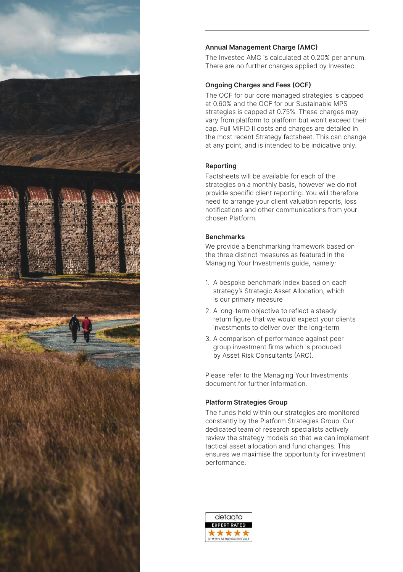

### **Annual Management Charge (AMC)**

The Investec AMC is calculated at 0.20% per annum. There are no further charges applied by Investec.

#### **Ongoing Charges and Fees (OCF)**

The OCF for our core managed strategies is capped at 0.60% and the OCF for our Sustainable MPS strategies is capped at 0.75%. These charges may vary from platform to platform but won't exceed their cap. Full MiFID II costs and charges are detailed in the most recent Strategy factsheet. This can change at any point, and is intended to be indicative only.

#### **Reporting**

Factsheets will be available for each of the strategies on a monthly basis, however we do not provide specific client reporting. You will therefore need to arrange your client valuation reports, loss notifications and other communications from your chosen Platform.

#### **Benchmarks**

We provide a benchmarking framework based on the three distinct measures as featured in the Managing Your Investments guide, namely:

- 1. A bespoke benchmark index based on each strategy's Strategic Asset Allocation, which is our primary measure
- 2. A long-term objective to reflect a steady return figure that we would expect your clients investments to deliver over the long-term
- 3. A comparison of performance against peer group investment firms which is produced by Asset Risk Consultants (ARC).

Please refer to the Managing Your Investments document for further information.

#### **Platform Strategies Group**

The funds held within our strategies are monitored constantly by the Platform Strategies Group. Our dedicated team of research specialists actively review the strategy models so that we can implement tactical asset allocation and fund changes. This ensures we maximise the opportunity for investment performance.